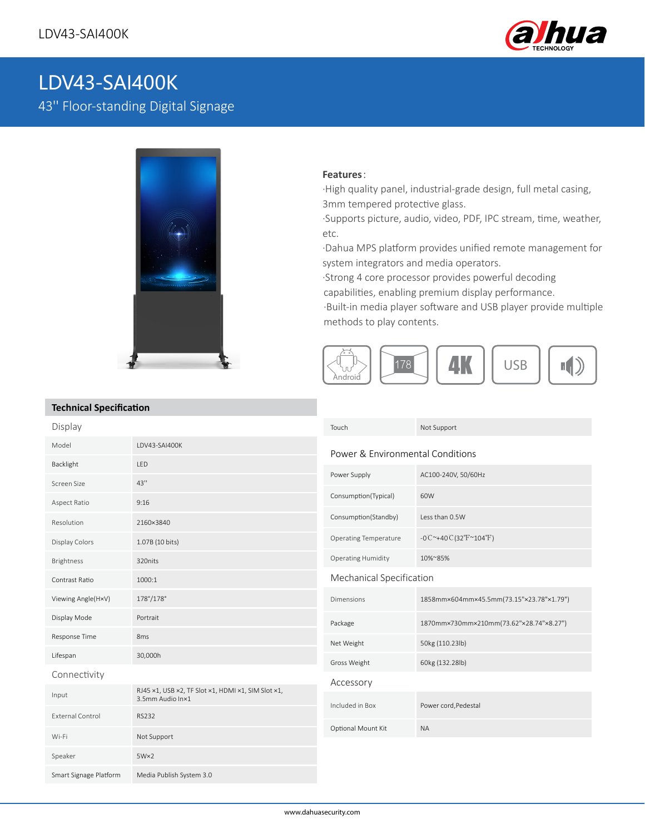

# LDV43-SAI400K

43'' Floor-standing Digital Signage



### **Features**:

·High quality panel, industrial-grade design, full metal casing, 3mm tempered protective glass.

·Supports picture, audio, video, PDF, IPC stream, time, weather, etc.

·Dahua MPS platform provides unified remote management for system integrators and media operators.

·Strong 4 core processor provides powerful decoding

capabilities, enabling premium display performance.

·Built-in media player software and USB player provide multiple methods to play contents.



## **Technical Specification**

| iceilineal opeellieation |                                                                        |                                  |                                                  |
|--------------------------|------------------------------------------------------------------------|----------------------------------|--------------------------------------------------|
| Display                  |                                                                        | Touch                            | Not Support                                      |
| Model                    | LDV43-SAI400K                                                          | Power & Environmental Conditions |                                                  |
| Backlight                | LED                                                                    |                                  |                                                  |
| Screen Size              | 43"                                                                    | Power Supply                     | AC100-240V, 50/60Hz                              |
| Aspect Ratio             | 9:16                                                                   | Consumption(Typical)             | 60W                                              |
| Resolution               | 2160×3840                                                              | Consumption(Standby)             | Less than 0.5W                                   |
| <b>Display Colors</b>    | 1.07B (10 bits)                                                        | <b>Operating Temperature</b>     | $-0C^{\sim}+40C(32^{\circ}F^{\sim}104^{\circ}F)$ |
| Brightness               | 320nits                                                                | <b>Operating Humidity</b>        | 10%~85%                                          |
| Contrast Ratio           | 1000:1                                                                 | Mechanical Specification         |                                                  |
| Viewing Angle(H×V)       | 178°/178°                                                              | <b>Dimensions</b>                | 1858mm×604mm×45.5mm(73.15"×23.78"×1.79")         |
| Display Mode             | Portrait                                                               | Package                          | 1870mm×730mm×210mm(73.62"×28.74"×8.27")          |
| Response Time            | 8 <sub>ms</sub>                                                        | Net Weight                       | 50kg (110.23lb)                                  |
| Lifespan                 | 30,000h                                                                | Gross Weight                     | 60kg (132.28lb)                                  |
| Connectivity             |                                                                        | Accessory                        |                                                  |
| Input                    | RJ45 x1, USB x2, TF Slot x1, HDMI x1, SIM Slot x1,<br>3.5mm Audio In×1 |                                  |                                                  |
| <b>External Control</b>  | <b>RS232</b>                                                           | Included in Box                  | Power cord, Pedestal                             |
| Wi-Fi                    | Not Support                                                            | Optional Mount Kit               | <b>NA</b>                                        |
| Speaker                  | $5W \times 2$                                                          |                                  |                                                  |
| Smart Signage Platform   | Media Publish System 3.0                                               |                                  |                                                  |